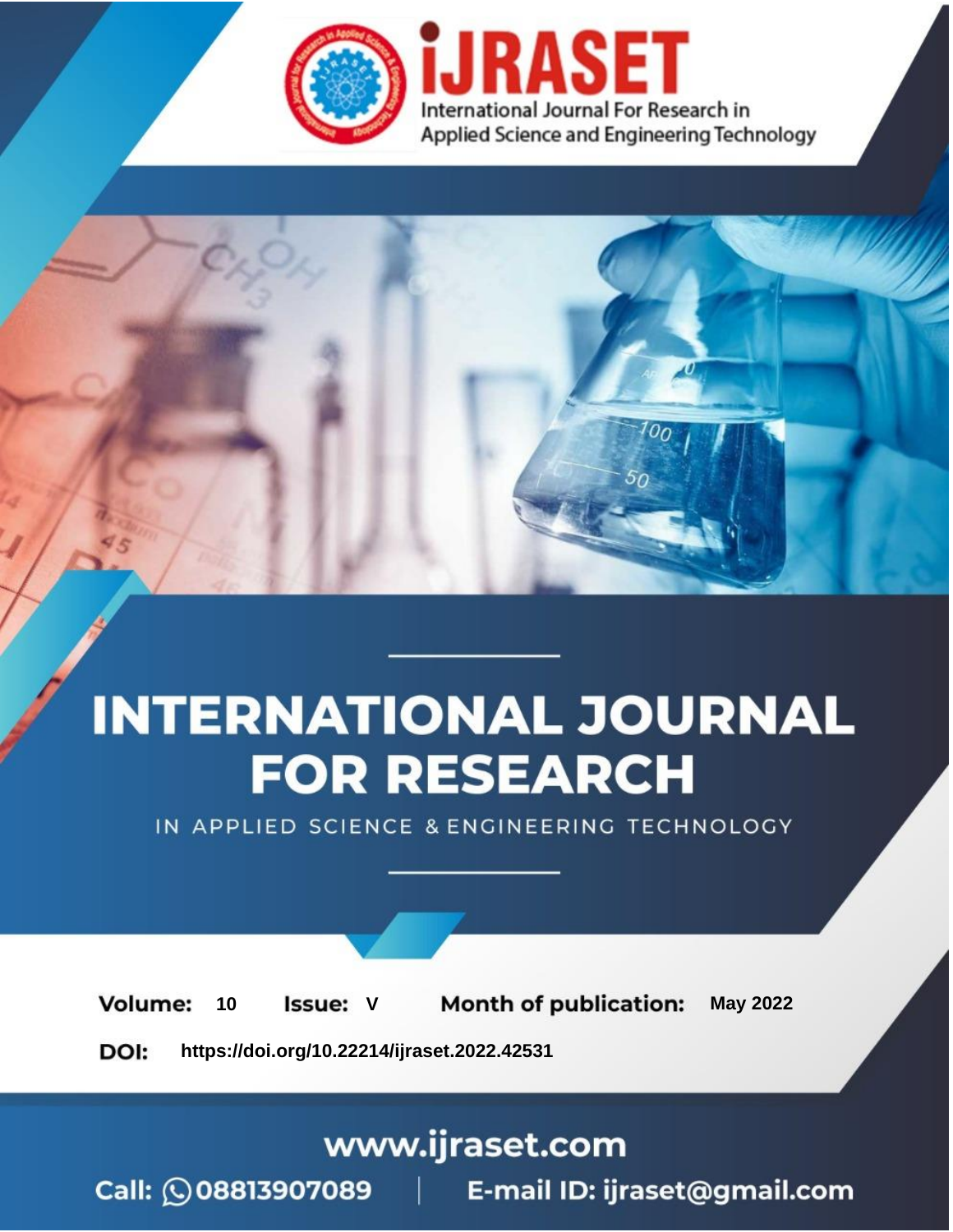

# **INTERNATIONAL JOURNAL FOR RESEARCH**

IN APPLIED SCIENCE & ENGINEERING TECHNOLOGY

Volume: **Month of publication: May 2022** 10 **Issue: V** 

DOI: https://doi.org/10.22214/ijraset.2022.42531

www.ijraset.com

Call: 008813907089 | E-mail ID: ijraset@gmail.com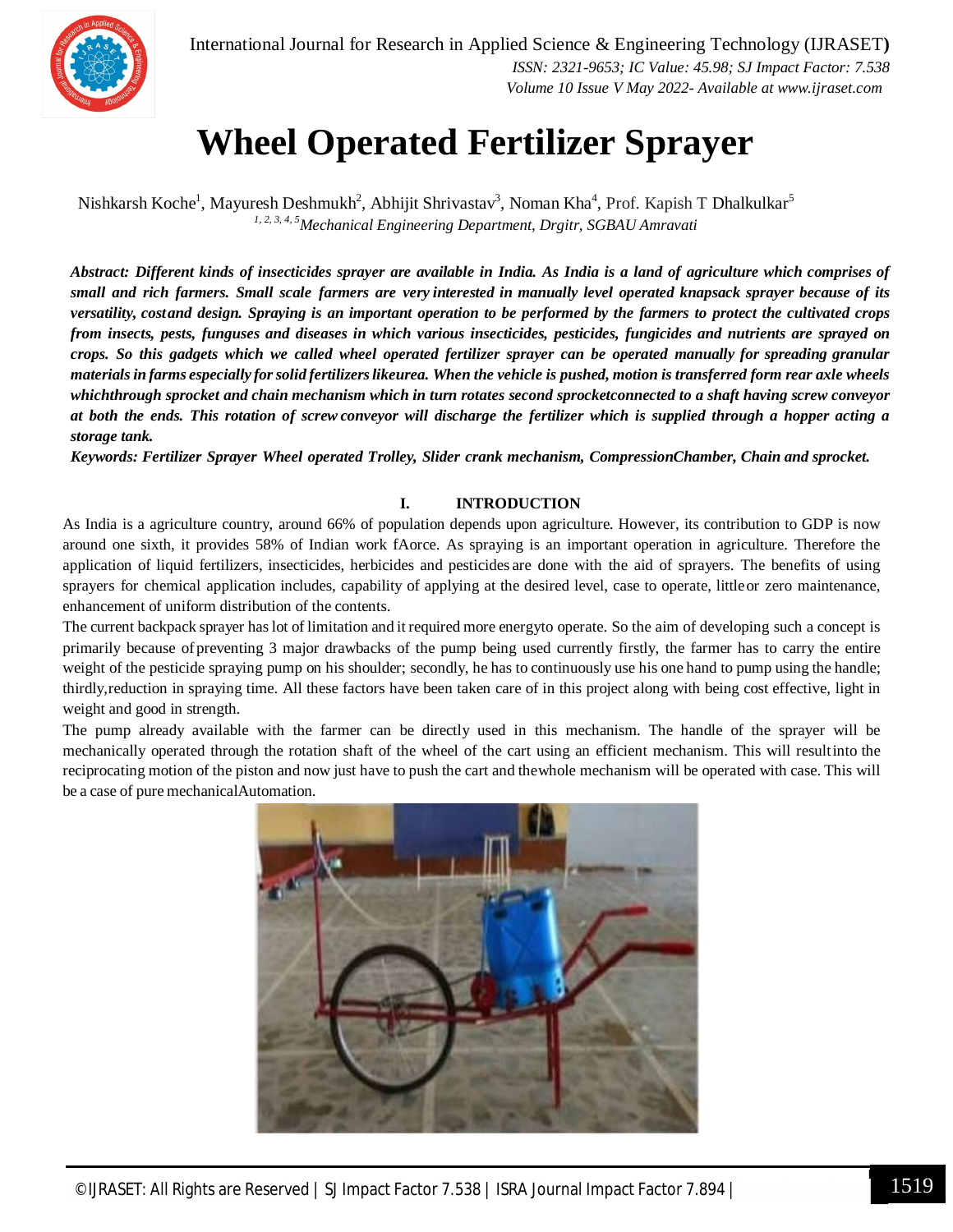

International Journal for Research in Applied Science & Engineering Technology (IJRASET**)**  *ISSN: 2321-9653; IC Value: 45.98; SJ Impact Factor: 7.538 Volume 10 Issue V May 2022- Available at www.ijraset.com*

### **Wheel Operated Fertilizer Sprayer**

Nishkarsh Koche<sup>1</sup>, Mayuresh Deshmukh<sup>2</sup>, Abhijit Shrivastav<sup>3</sup>, Noman Kha<sup>4</sup>, Prof. Kapish T Dhalkulkar<sup>5</sup> *1, 2, 3, 4, 5Mechanical Engineering Department, Drgitr, SGBAU Amravati*

*Abstract: Different kinds of insecticides sprayer are available in India. As India is a land of agriculture which comprises of* small and rich farmers. Small scale farmers are very interested in manually level operated knapsack sprayer because of its *versatility, costand design. Spraying is an important operation to be performed by the farmers to protect the cultivated crops from insects, pests, funguses and diseases in which various insecticides, pesticides, fungicides and nutrients are sprayed on crops. So this gadgets which we called wheel operated fertilizer sprayer can be operated manually for spreading granular* materials in farms especially for solid fertilizers likeurea. When the vehicle is pushed, motion is transferred form rear axle wheels *whichthrough sprocket and chain mechanism which in turn rotates second sprocketconnected to a shaft having screw conveyor at both the ends. This rotation of screw conveyor will discharge the fertilizer which is supplied through a hopper acting a storage tank.*

*Keywords: Fertilizer Sprayer Wheel operated Trolley, Slider crank mechanism, CompressionChamber, Chain and sprocket.*

#### **I. INTRODUCTION**

As India is a agriculture country, around 66% of population depends upon agriculture. However, its contribution to GDP is now around one sixth, it provides 58% of Indian work fAorce. As spraying is an important operation in agriculture. Therefore the application of liquid fertilizers, insecticides, herbicides and pesticides are done with the aid of sprayers. The benefits of using sprayers for chemical application includes, capability of applying at the desired level, case to operate, littleor zero maintenance, enhancement of uniform distribution of the contents.

The current backpack sprayer haslot of limitation and it required more energyto operate. So the aim of developing such a concept is primarily because ofpreventing 3 major drawbacks of the pump being used currently firstly, the farmer has to carry the entire weight of the pesticide spraying pump on his shoulder; secondly, he has to continuously use his one hand to pump using the handle; thirdly,reduction in spraying time. All these factors have been taken care of in this project along with being cost effective, light in weight and good in strength.

The pump already available with the farmer can be directly used in this mechanism. The handle of the sprayer will be mechanically operated through the rotation shaft of the wheel of the cart using an efficient mechanism. This will resultinto the reciprocating motion of the piston and now just have to push the cart and thewhole mechanism will be operated with case. This will be a case of pure mechanicalAutomation.

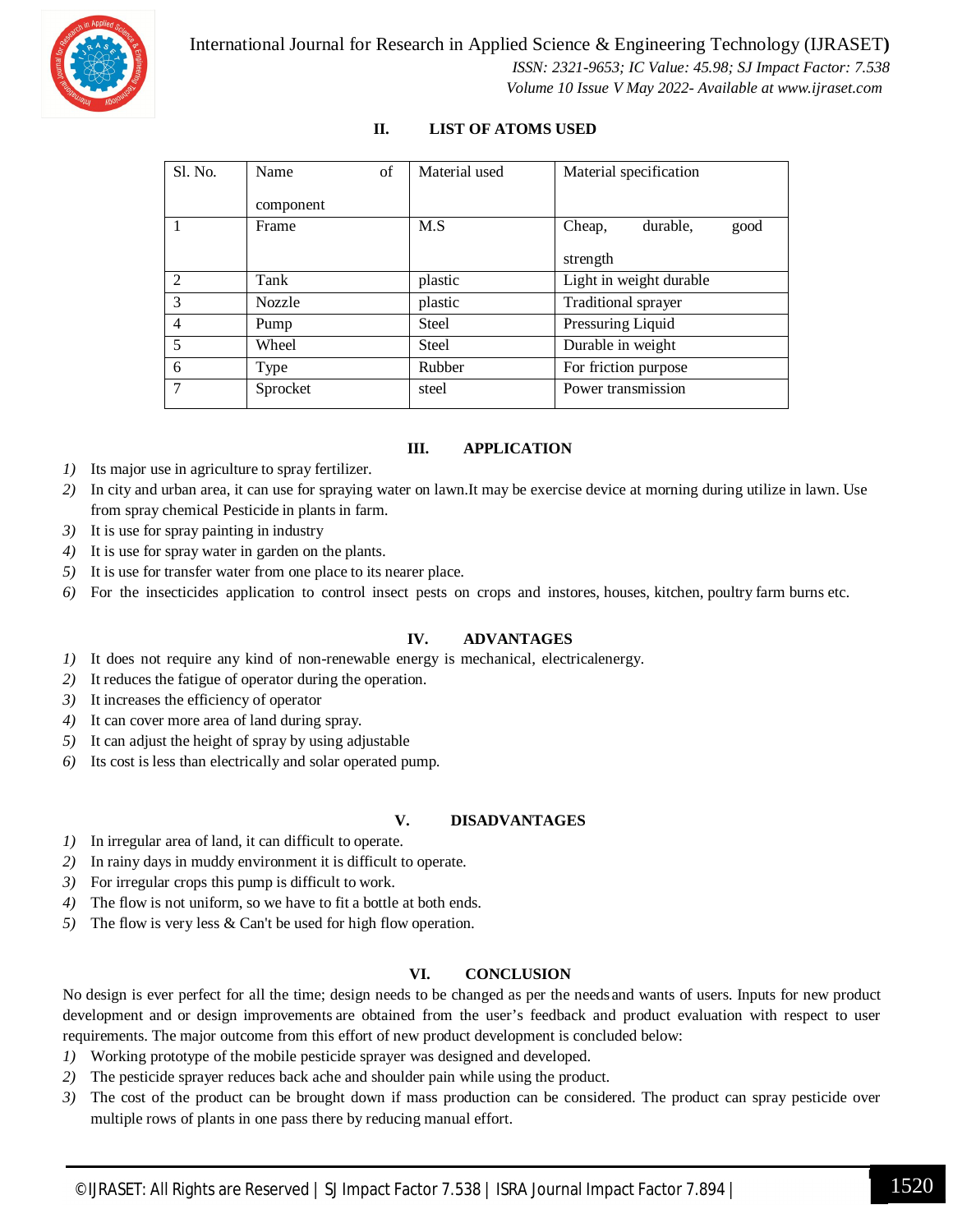

#### **II. LIST OF ATOMS USED**

| S1. No.        | of<br>Name    | Material used | Material specification     |
|----------------|---------------|---------------|----------------------------|
|                | component     |               |                            |
|                | Frame         | M.S           | durable,<br>Cheap,<br>good |
|                |               |               | strength                   |
| 2              | Tank          | plastic       | Light in weight durable    |
| 3              | <b>Nozzle</b> | plastic       | Traditional sprayer        |
| $\overline{4}$ | Pump          | Steel         | Pressuring Liquid          |
| 5              | Wheel         | Steel         | Durable in weight          |
| 6              | Type          | Rubber        | For friction purpose       |
| 7              | Sprocket      | steel         | Power transmission         |

#### **III. APPLICATION**

- *1)* Its major use in agriculture to spray fertilizer.
- *2)* In city and urban area, it can use for spraying water on lawn.It may be exercise device at morning during utilize in lawn. Use from spray chemical Pesticide in plants in farm.
- *3)* It is use for spray painting in industry
- *4)* It is use for spray water in garden on the plants.
- *5)* It is use for transfer water from one place to its nearer place.
- *6)* For the insecticides application to control insect pests on crops and instores, houses, kitchen, poultry farm burns etc.

#### **IV. ADVANTAGES**

- *1*) It does not require any kind of non-renewable energy is mechanical, electricalenergy.
- *2)* It reduces the fatigue of operator during the operation.
- *3)* It increases the efficiency of operator
- *4)* It can cover more area of land during spray.
- *5)* It can adjust the height of spray by using adjustable
- *6)* Its cost is less than electrically and solar operated pump.

#### **V. DISADVANTAGES**

- *1)* In irregular area of land, it can difficult to operate.
- *2)* In rainy days in muddy environment it is difficult to operate.
- *3)* For irregular crops this pump is difficult to work.
- *4)* The flow is not uniform, so we have to fit a bottle at both ends.
- *5)* The flow is very less & Can't be used for high flow operation.

#### **VI. CONCLUSION**

No design is ever perfect for all the time; design needs to be changed as per the needs and wants of users. Inputs for new product development and or design improvements are obtained from the user's feedback and product evaluation with respect to user requirements. The major outcome from this effort of new product development is concluded below:

- *1)* Working prototype of the mobile pesticide sprayer was designed and developed.
- *2)* The pesticide sprayer reduces back ache and shoulder pain while using the product.
- *3)* The cost of the product can be brought down if mass production can be considered. The product can spray pesticide over multiple rows of plants in one pass there by reducing manual effort.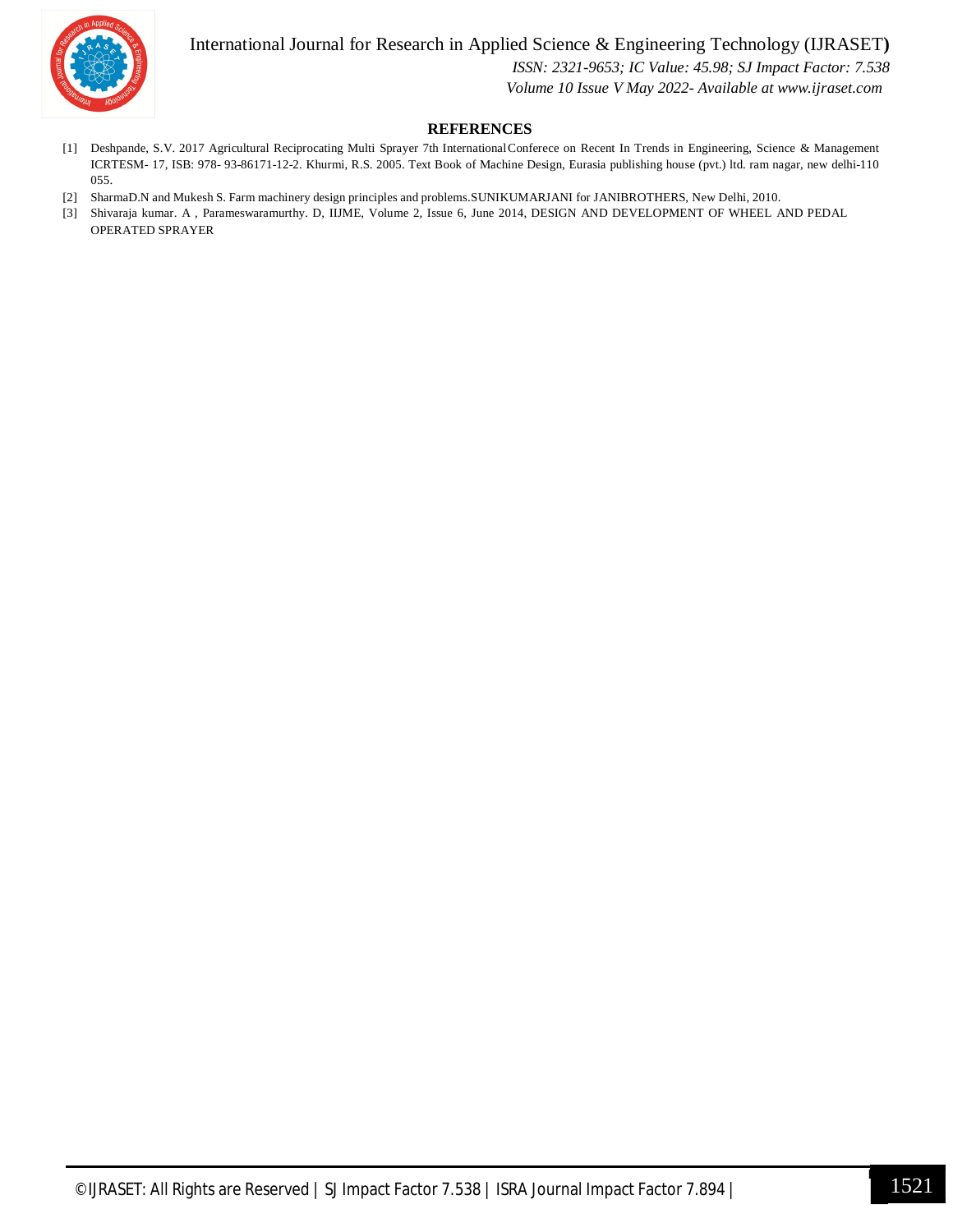International Journal for Research in Applied Science & Engineering Technology (IJRASET**)**



 *ISSN: 2321-9653; IC Value: 45.98; SJ Impact Factor: 7.538*

 *Volume 10 Issue V May 2022- Available at www.ijraset.com*

#### **REFERENCES**

- [1] Deshpande, S.V. 2017 Agricultural Reciprocating Multi Sprayer 7th InternationalConferece on Recent In Trends in Engineering, Science & Management ICRTESM- 17, ISB: 978- 93-86171-12-2. Khurmi, R.S. 2005. Text Book of Machine Design, Eurasia publishing house (pvt.) ltd. ram nagar, new delhi-110 055.
- [2] SharmaD.N and Mukesh S. Farm machinery design principles and problems.SUNIKUMARJANI for JANIBROTHERS, New Delhi, 2010.
- [3] Shivaraja kumar. A , Parameswaramurthy. D, IIJME, Volume 2, Issue 6, June 2014, DESIGN AND DEVELOPMENT OF WHEEL AND PEDAL OPERATED SPRAYER